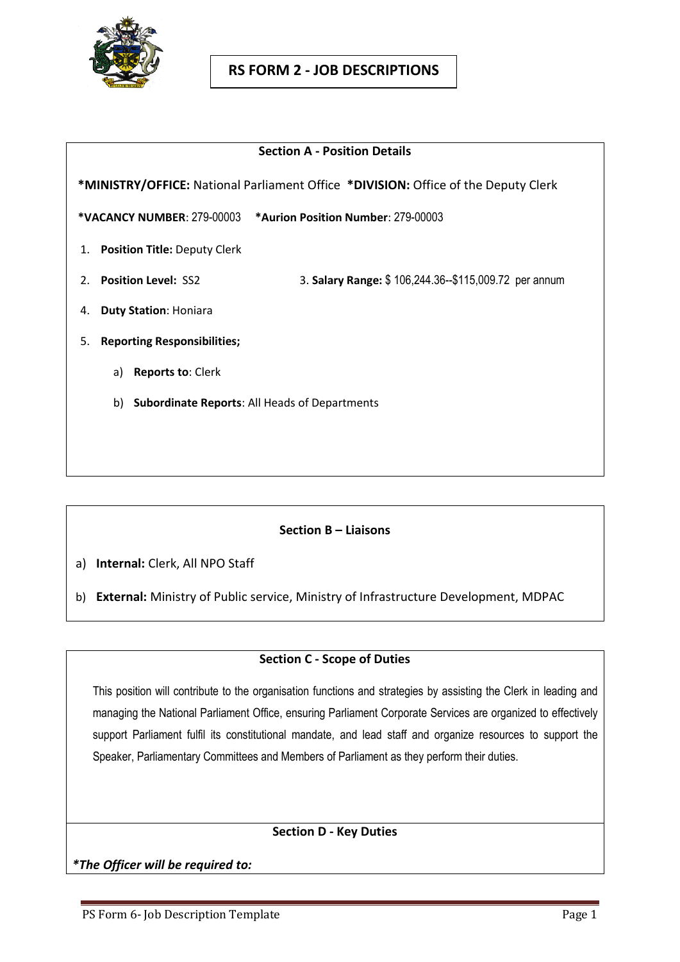

#### **Section A - Position Details**

 **\*MINISTRY/OFFICE:** National Parliament Office **\*DIVISION:** Office of the Deputy Clerk

**\*VACANCY NUMBER**: 279-00003 **\*Aurion Position Number**: 279-00003

- 1. **Position Title:** Deputy Clerk
- 2. **Position Level:** SS2 3. **Salary Range:** \$ 106,244.36--\$115,009.72 per annum
- 4. **Duty Station**: Honiara
- 5. **Reporting Responsibilities;**
	- a) **Reports to**: Clerk
	- b) **Subordinate Reports**: All Heads of Departments

### **Section B – Liaisons**

a) **Internal:** Clerk, All NPO Staff

b) **External:** Ministry of Public service, Ministry of Infrastructure Development, MDPAC

### **Section C - Scope of Duties**

This position will contribute to the organisation functions and strategies by assisting the Clerk in leading and managing the National Parliament Office, ensuring Parliament Corporate Services are organized to effectively support Parliament fulfil its constitutional mandate, and lead staff and organize resources to support the Speaker, Parliamentary Committees and Members of Parliament as they perform their duties.

### **Section D - Key Duties**

*\*The Officer will be required to:*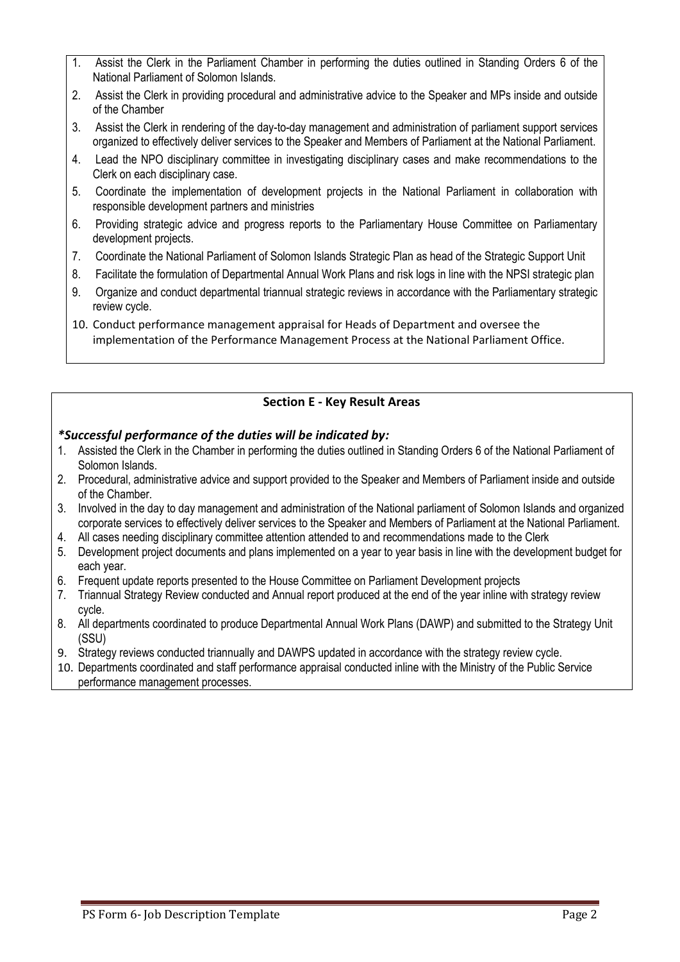- 1. Assist the Clerk in the Parliament Chamber in performing the duties outlined in Standing Orders 6 of the National Parliament of Solomon Islands.
- 2. Assist the Clerk in providing procedural and administrative advice to the Speaker and MPs inside and outside of the Chamber
- 3. Assist the Clerk in rendering of the day-to-day management and administration of parliament support services organized to effectively deliver services to the Speaker and Members of Parliament at the National Parliament.
- 4. Lead the NPO disciplinary committee in investigating disciplinary cases and make recommendations to the Clerk on each disciplinary case.
- 5. Coordinate the implementation of development projects in the National Parliament in collaboration with responsible development partners and ministries
- 6. Providing strategic advice and progress reports to the Parliamentary House Committee on Parliamentary development projects.
- 7. Coordinate the National Parliament of Solomon Islands Strategic Plan as head of the Strategic Support Unit
- 8. Facilitate the formulation of Departmental Annual Work Plans and risk logs in line with the NPSI strategic plan
- 9. Organize and conduct departmental triannual strategic reviews in accordance with the Parliamentary strategic review cycle.
- 10. Conduct performance management appraisal for Heads of Department and oversee the implementation of the Performance Management Process at the National Parliament Office.

# **Section E - Key Result Areas**

### *\*Successful performance of the duties will be indicated by:*

- 1. Assisted the Clerk in the Chamber in performing the duties outlined in Standing Orders 6 of the National Parliament of Solomon Islands.
- 2. Procedural, administrative advice and support provided to the Speaker and Members of Parliament inside and outside of the Chamber.
- 3. Involved in the day to day management and administration of the National parliament of Solomon Islands and organized corporate services to effectively deliver services to the Speaker and Members of Parliament at the National Parliament.
- 4. All cases needing disciplinary committee attention attended to and recommendations made to the Clerk
- 5. Development project documents and plans implemented on a year to year basis in line with the development budget for each year.
- 6. Frequent update reports presented to the House Committee on Parliament Development projects
- 7. Triannual Strategy Review conducted and Annual report produced at the end of the year inline with strategy review cycle.
- 8. All departments coordinated to produce Departmental Annual Work Plans (DAWP) and submitted to the Strategy Unit (SSU)
- 9. Strategy reviews conducted triannually and DAWPS updated in accordance with the strategy review cycle.
- 10. Departments coordinated and staff performance appraisal conducted inline with the Ministry of the Public Service performance management processes.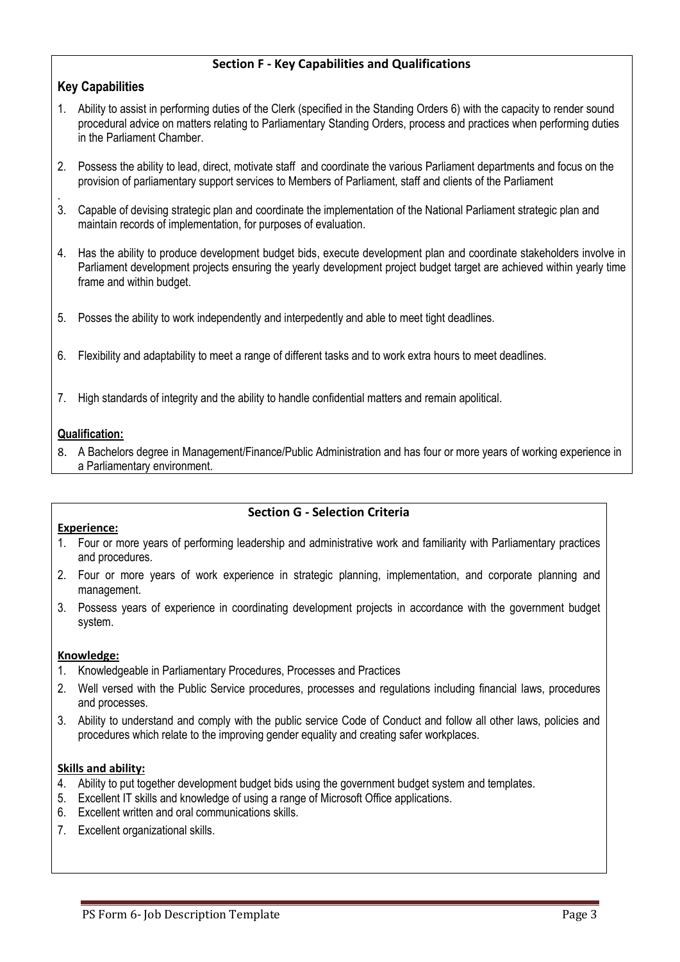# **Section F - Key Capabilities and Qualifications**

# **Key Capabilities**

- 1. Ability to assist in performing duties of the Clerk (specified in the Standing Orders 6) with the capacity to render sound procedural advice on matters relating to Parliamentary Standing Orders, process and practices when performing duties in the Parliament Chamber.
- 2. Possess the ability to lead, direct, motivate staff and coordinate the various Parliament departments and focus on the provision of parliamentary support services to Members of Parliament, staff and clients of the Parliament
- . 3. Capable of devising strategic plan and coordinate the implementation of the National Parliament strategic plan and maintain records of implementation, for purposes of evaluation.
- 4. Has the ability to produce development budget bids, execute development plan and coordinate stakeholders involve in Parliament development projects ensuring the yearly development project budget target are achieved within yearly time frame and within budget.
- 5. Posses the ability to work independently and interpedently and able to meet tight deadlines.
- 6. Flexibility and adaptability to meet a range of different tasks and to work extra hours to meet deadlines.
- 7. High standards of integrity and the ability to handle confidential matters and remain apolitical.

### **Qualification:**

8. A Bachelors degree in Management/Finance/Public Administration and has four or more years of working experience in a Parliamentary environment.

### **Section G - Selection Criteria**

#### **Experience:**

- 1. Four or more years of performing leadership and administrative work and familiarity with Parliamentary practices and procedures.
- 2. Four or more years of work experience in strategic planning, implementation, and corporate planning and management.
- 3. Possess years of experience in coordinating development projects in accordance with the government budget system.

#### **Knowledge:**

- 1. Knowledgeable in Parliamentary Procedures, Processes and Practices
- 2. Well versed with the Public Service procedures, processes and regulations including financial laws, procedures and processes.
- 3. Ability to understand and comply with the public service Code of Conduct and follow all other laws, policies and procedures which relate to the improving gender equality and creating safer workplaces.

#### **Skills and ability:**

- 4. Ability to put together development budget bids using the government budget system and templates.
- 5. Excellent IT skills and knowledge of using a range of Microsoft Office applications.
- 6. Excellent written and oral communications skills.
- 7. Excellent organizational skills.